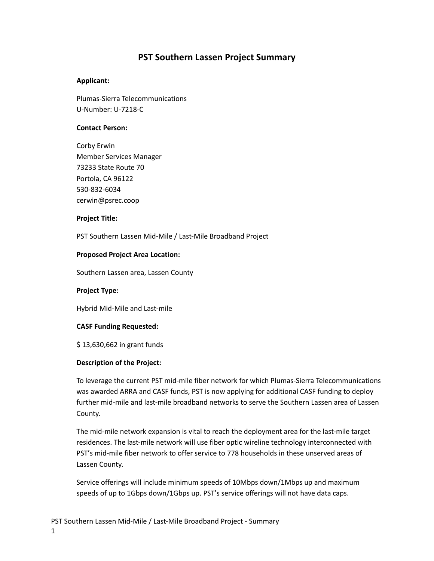## **PST Southern Lassen Project Summary**

## **Applicant:**

Plumas-Sierra Telecommunications U-Number: U-7218-C

## **Contact Person:**

Corby Erwin Member Services Manager 73233 State Route 70 Portola, CA 96122 530-832-6034 cerwin@psrec.coop

#### **Project Title:**

PST Southern Lassen Mid-Mile / Last-Mile Broadband Project

#### **Proposed Project Area Location:**

Southern Lassen area, Lassen County

## **Project Type:**

Hybrid Mid-Mile and Last-mile

## **CASF Funding Requested:**

\$ 13,630,662 in grant funds

## **Description of the Project:**

To leverage the current PST mid-mile fiber network for which Plumas-Sierra Telecommunications was awarded ARRA and CASF funds, PST is now applying for additional CASF funding to deploy further mid-mile and last-mile broadband networks to serve the Southern Lassen area of Lassen County.

The mid-mile network expansion is vital to reach the deployment area for the last-mile target residences. The last-mile network will use fiber optic wireline technology interconnected with PST's mid-mile fiber network to offer service to 778 households in these unserved areas of Lassen County.

Service offerings will include minimum speeds of 10Mbps down/1Mbps up and maximum speeds of up to 1Gbps down/1Gbps up. PST's service offerings will not have data caps.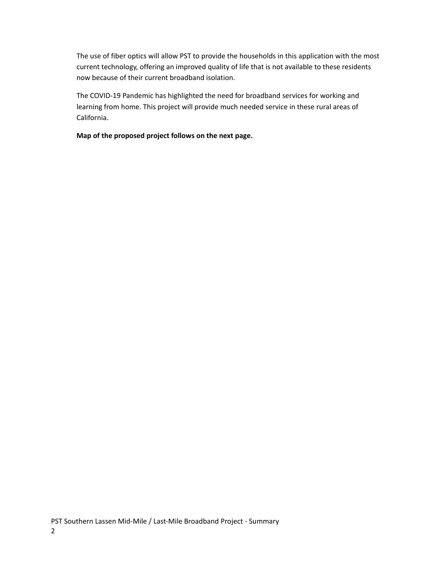The use of fiber optics will allow PST to provide the households in this application with the most current technology, offering an improved quality of life that is not available to these residents now because of their current broadband isolation.

The COVID-19 Pandemic has highlighted the need for broadband services for working and learning from home. This project will provide much needed service in these rural areas of California.

**Map of the proposed project follows on the next page.**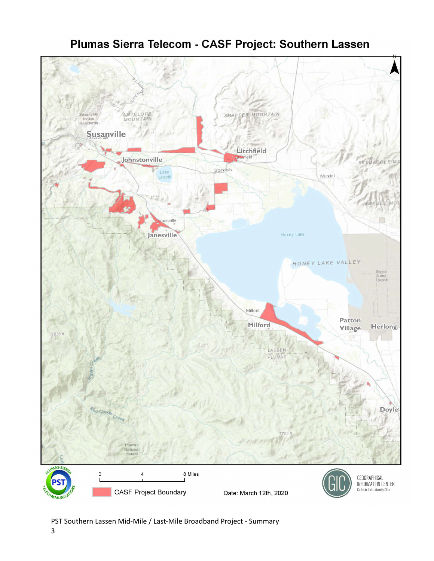

# Plumas Sierra Telecom - CASF Project: Southern Lassen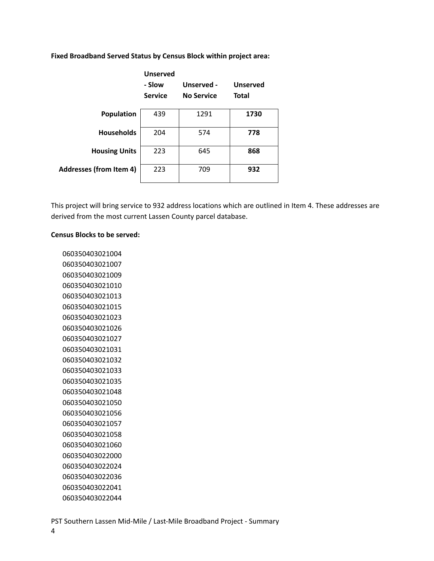|                                | <b>Unserved</b><br>- Slow<br><b>Service</b> | Unserved -<br><b>No Service</b> | <b>Unserved</b><br><b>Total</b> |
|--------------------------------|---------------------------------------------|---------------------------------|---------------------------------|
| <b>Population</b>              | 439                                         | 1291                            | 1730                            |
| <b>Households</b>              | 204                                         | 574                             | 778                             |
| <b>Housing Units</b>           | 223                                         | 645                             | 868                             |
| <b>Addresses (from Item 4)</b> | 223                                         | 709                             | 932                             |

**Fixed Broadband Served Status by Census Block within project area:**

This project will bring service to 932 address locations which are outlined in Item 4. These addresses are derived from the most current Lassen County parcel database.

#### **Census Blocks to be served:**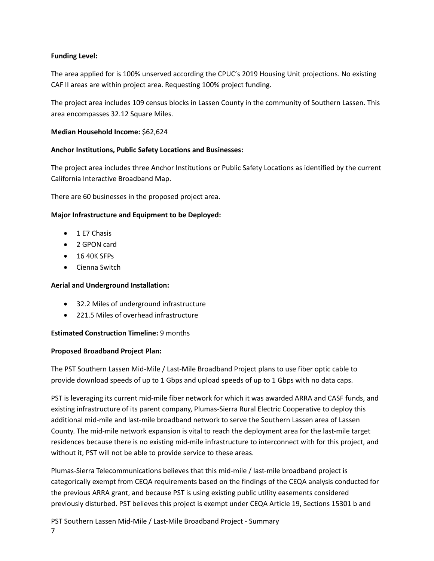## **Funding Level:**

The area applied for is 100% unserved according the CPUC's 2019 Housing Unit projections. No existing CAF II areas are within project area. Requesting 100% project funding.

The project area includes 109 census blocks in Lassen County in the community of Southern Lassen. This area encompasses 32.12 Square Miles.

## **Median Household Income:** \$62,624

## **Anchor Institutions, Public Safety Locations and Businesses:**

The project area includes three Anchor Institutions or Public Safety Locations as identified by the current California Interactive Broadband Map.

There are 60 businesses in the proposed project area.

## **Major Infrastructure and Equipment to be Deployed:**

- 1 E7 Chasis
- 2 GPON card
- 16 40K SFPs
- Cienna Switch

## **Aerial and Underground Installation:**

- 32.2 Miles of underground infrastructure
- 221.5 Miles of overhead infrastructure

## **Estimated Construction Timeline:** 9 months

## **Proposed Broadband Project Plan:**

The PST Southern Lassen Mid-Mile / Last-Mile Broadband Project plans to use fiber optic cable to provide download speeds of up to 1 Gbps and upload speeds of up to 1 Gbps with no data caps.

PST is leveraging its current mid-mile fiber network for which it was awarded ARRA and CASF funds, and existing infrastructure of its parent company, Plumas-Sierra Rural Electric Cooperative to deploy this additional mid-mile and last-mile broadband network to serve the Southern Lassen area of Lassen County. The mid-mile network expansion is vital to reach the deployment area for the last-mile target residences because there is no existing mid-mile infrastructure to interconnect with for this project, and without it, PST will not be able to provide service to these areas.

Plumas-Sierra Telecommunications believes that this mid-mile / last-mile broadband project is categorically exempt from CEQA requirements based on the findings of the CEQA analysis conducted for the previous ARRA grant, and because PST is using existing public utility easements considered previously disturbed. PST believes this project is exempt under CEQA Article 19, Sections 15301 b and